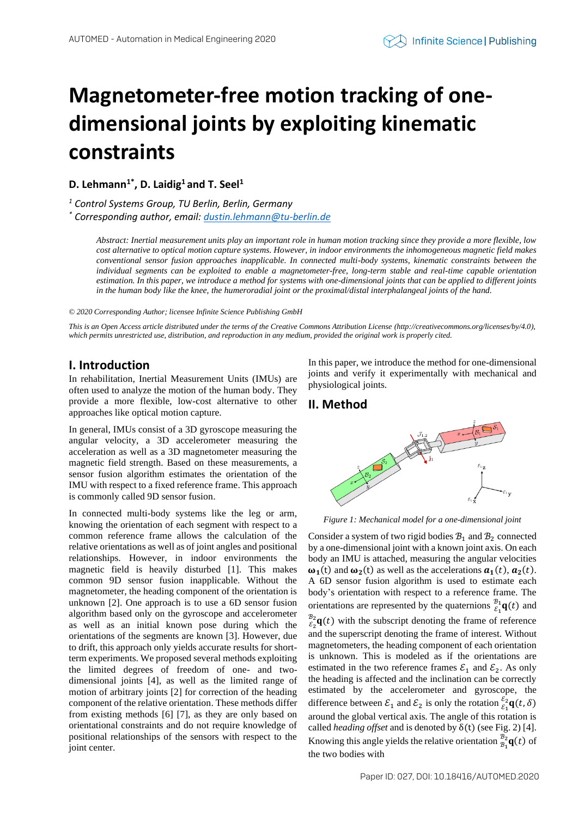# **Magnetometer-free motion tracking of onedimensional joints by exploiting kinematic constraints**

**D. Lehmann1\* , D. Laidig<sup>1</sup> and T. Seel<sup>1</sup>**

*<sup>1</sup> Control Systems Group, TU Berlin, Berlin, Germany*

*\* Corresponding author, email[: dustin.lehmann@tu-berlin.de](mailto:dustin.lehmann@tu-berlin.de)*

*Abstract: Inertial measurement units play an important role in human motion tracking since they provide a more flexible, low cost alternative to optical motion capture systems. However, in indoor environments the inhomogeneous magnetic field makes conventional sensor fusion approaches inapplicable. In connected multi-body systems, kinematic constraints between the individual segments can be exploited to enable a magnetometer-free, long-term stable and real-time capable orientation estimation. In this paper, we introduce a method for systems with one-dimensional joints that can be applied to different joints*  in the human body like the knee, the humeroradial joint or the proximal/distal interphalangeal joints of the hand.

*© 2020 Corresponding Author; licensee Infinite Science Publishing GmbH*

*This is an Open Access article distributed under the terms of the Creative Commons Attribution License (http://creativecommons.org/licenses/by/4.0), which permits unrestricted use, distribution, and reproduction in any medium, provided the original work is properly cited.*

## **I. Introduction**

In rehabilitation, Inertial Measurement Units (IMUs) are often used to analyze the motion of the human body. They provide a more flexible, low-cost alternative to other approaches like optical motion capture.

In general, IMUs consist of a 3D gyroscope measuring the angular velocity, a 3D accelerometer measuring the acceleration as well as a 3D magnetometer measuring the magnetic field strength. Based on these measurements, a sensor fusion algorithm estimates the orientation of the IMU with respect to a fixed reference frame. This approach is commonly called 9D sensor fusion.

In connected multi-body systems like the leg or arm, knowing the orientation of each segment with respect to a common reference frame allows the calculation of the relative orientations as well as of joint angles and positional relationships. However, in indoor environments the magnetic field is heavily disturbed [1]. This makes common 9D sensor fusion inapplicable. Without the magnetometer, the heading component of the orientation is unknown [2]. One approach is to use a 6D sensor fusion algorithm based only on the gyroscope and accelerometer as well as an initial known pose during which the orientations of the segments are known [3]. However, due to drift, this approach only yields accurate results for shortterm experiments. We proposed several methods exploiting the limited degrees of freedom of one- and twodimensional joints [4], as well as the limited range of motion of arbitrary joints [2] for correction of the heading component of the relative orientation. These methods differ from existing methods [6] [7], as they are only based on orientational constraints and do not require knowledge of positional relationships of the sensors with respect to the joint center.

In this paper, we introduce the method for one-dimensional joints and verify it experimentally with mechanical and physiological joints.

## **II. Method**



*Figure 1: Mechanical model for a one-dimensional joint*

Consider a system of two rigid bodies  $B_1$  and  $B_2$  connected by a one-dimensional joint with a known joint axis. On each body an IMU is attached, measuring the angular velocities  $\omega_1(t)$  and  $\omega_2(t)$  as well as the accelerations  $a_1(t)$ ,  $a_2(t)$ . A 6D sensor fusion algorithm is used to estimate each body's orientation with respect to a reference frame. The orientations are represented by the quaternions  $\frac{\mathcal{B}_1}{\mathcal{E}_1} \mathbf{q}(t)$  and  $\frac{\mathcal{B}_2}{\mathcal{E}_2}$ **q**(*t*) with the subscript denoting the frame of reference and the superscript denoting the frame of interest. Without magnetometers, the heading component of each orientation is unknown. This is modeled as if the orientations are estimated in the two reference frames  $\mathcal{E}_1$  and  $\mathcal{E}_2$ . As only the heading is affected and the inclination can be correctly estimated by the accelerometer and gyroscope, the difference between  $\mathcal{E}_1$  and  $\mathcal{E}_2$  is only the rotation  $\frac{\varepsilon_2}{\varepsilon_1} \mathbf{q}(t, \delta)$ around the global vertical axis. The angle of this rotation is called *heading offset* and is denoted by δ(t) (see Fig. 2) [4]. Knowing this angle yields the relative orientation  $\frac{B_2}{B_1}\mathbf{q}(t)$  of the two bodies with